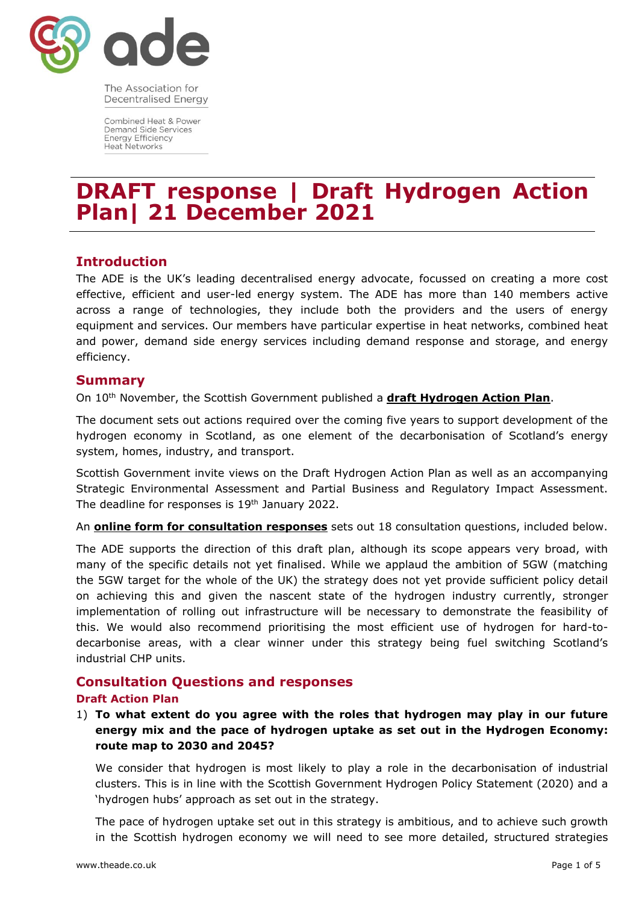

The Association for **Decentralised Energy** 

Combined Heat & Power **Demand Side Services Energy Efficiency Heat Networks** 

# **DRAFT response | Draft Hydrogen Action Plan| 21 December 2021**

# **Introduction**

The ADE is the UK's leading decentralised energy advocate, focussed on creating a more cost effective, efficient and user-led energy system. The ADE has more than 140 members active across a range of technologies, they include both the providers and the users of energy equipment and services. Our members have particular expertise in heat networks, combined heat and power, demand side energy services including demand response and storage, and energy efficiency.

## **Summary**

On 10<sup>th</sup> November, the Scottish Government published a **[draft Hydrogen Action Plan](https://consult.gov.scot/energy-and-climate-change-directorate/hydrogen-action-plan/)**.

The document sets out actions required over the coming five years to support development of the hydrogen economy in Scotland, as one element of the decarbonisation of Scotland's energy system, homes, industry, and transport.

Scottish Government invite views on the Draft Hydrogen Action Plan as well as an accompanying Strategic Environmental Assessment and Partial Business and Regulatory Impact Assessment. The deadline for responses is 19<sup>th</sup> January 2022.

An **[online form for consultation responses](https://consult.gov.scot/energy-and-climate-change-directorate/hydrogen-action-plan/consultation/)** sets out 18 consultation questions, included below.

The ADE supports the direction of this draft plan, although its scope appears very broad, with many of the specific details not yet finalised. While we applaud the ambition of 5GW (matching the 5GW target for the whole of the UK) the strategy does not yet provide sufficient policy detail on achieving this and given the nascent state of the hydrogen industry currently, stronger implementation of rolling out infrastructure will be necessary to demonstrate the feasibility of this. We would also recommend prioritising the most efficient use of hydrogen for hard-todecarbonise areas, with a clear winner under this strategy being fuel switching Scotland's industrial CHP units.

## **Consultation Questions and responses**

## **Draft Action Plan**

1) **To what extent do you agree with the roles that hydrogen may play in our future energy mix and the pace of hydrogen uptake as set out in the Hydrogen Economy: route map to 2030 and 2045?**

We consider that hydrogen is most likely to play a role in the decarbonisation of industrial clusters. This is in line with the Scottish Government Hydrogen Policy Statement (2020) and a 'hydrogen hubs' approach as set out in the strategy.

The pace of hydrogen uptake set out in this strategy is ambitious, and to achieve such growth in the Scottish hydrogen economy we will need to see more detailed, structured strategies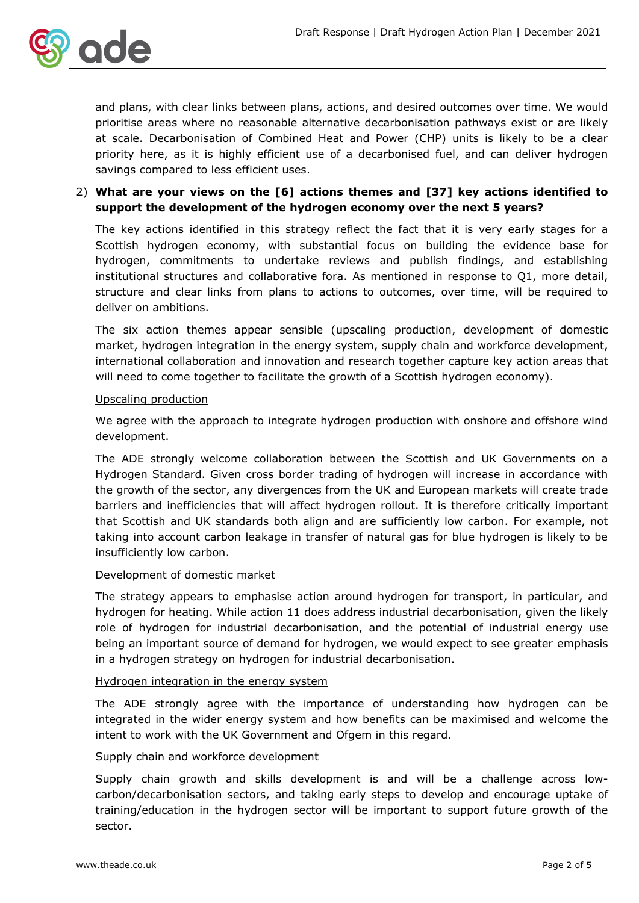

and plans, with clear links between plans, actions, and desired outcomes over time. We would prioritise areas where no reasonable alternative decarbonisation pathways exist or are likely at scale. Decarbonisation of Combined Heat and Power (CHP) units is likely to be a clear priority here, as it is highly efficient use of a decarbonised fuel, and can deliver hydrogen savings compared to less efficient uses.

## 2) **What are your views on the [6] actions themes and [37] key actions identified to support the development of the hydrogen economy over the next 5 years?**

The key actions identified in this strategy reflect the fact that it is very early stages for a Scottish hydrogen economy, with substantial focus on building the evidence base for hydrogen, commitments to undertake reviews and publish findings, and establishing institutional structures and collaborative fora. As mentioned in response to Q1, more detail, structure and clear links from plans to actions to outcomes, over time, will be required to deliver on ambitions.

The six action themes appear sensible (upscaling production, development of domestic market, hydrogen integration in the energy system, supply chain and workforce development, international collaboration and innovation and research together capture key action areas that will need to come together to facilitate the growth of a Scottish hydrogen economy).

#### Upscaling production

We agree with the approach to integrate hydrogen production with onshore and offshore wind development.

The ADE strongly welcome collaboration between the Scottish and UK Governments on a Hydrogen Standard. Given cross border trading of hydrogen will increase in accordance with the growth of the sector, any divergences from the UK and European markets will create trade barriers and inefficiencies that will affect hydrogen rollout. It is therefore critically important that Scottish and UK standards both align and are sufficiently low carbon. For example, not taking into account carbon leakage in transfer of natural gas for blue hydrogen is likely to be insufficiently low carbon.

#### Development of domestic market

The strategy appears to emphasise action around hydrogen for transport, in particular, and hydrogen for heating. While action 11 does address industrial decarbonisation, given the likely role of hydrogen for industrial decarbonisation, and the potential of industrial energy use being an important source of demand for hydrogen, we would expect to see greater emphasis in a hydrogen strategy on hydrogen for industrial decarbonisation.

#### Hydrogen integration in the energy system

The ADE strongly agree with the importance of understanding how hydrogen can be integrated in the wider energy system and how benefits can be maximised and welcome the intent to work with the UK Government and Ofgem in this regard.

## Supply chain and workforce development

Supply chain growth and skills development is and will be a challenge across lowcarbon/decarbonisation sectors, and taking early steps to develop and encourage uptake of training/education in the hydrogen sector will be important to support future growth of the sector.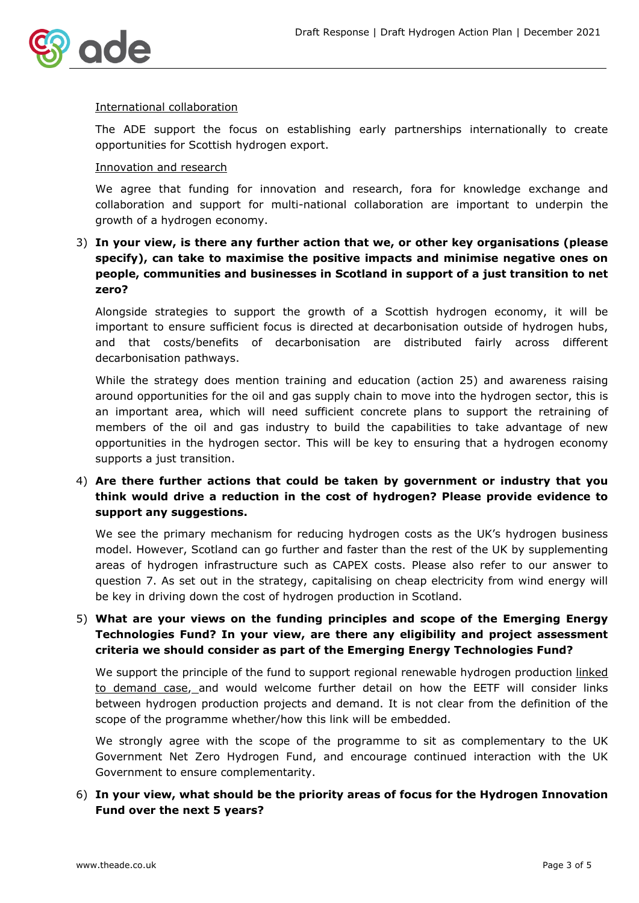

#### International collaboration

The ADE support the focus on establishing early partnerships internationally to create opportunities for Scottish hydrogen export.

#### Innovation and research

We agree that funding for innovation and research, fora for knowledge exchange and collaboration and support for multi-national collaboration are important to underpin the growth of a hydrogen economy.

# 3) **In your view, is there any further action that we, or other key organisations (please specify), can take to maximise the positive impacts and minimise negative ones on people, communities and businesses in Scotland in support of a just transition to net zero?**

Alongside strategies to support the growth of a Scottish hydrogen economy, it will be important to ensure sufficient focus is directed at decarbonisation outside of hydrogen hubs, and that costs/benefits of decarbonisation are distributed fairly across different decarbonisation pathways.

While the strategy does mention training and education (action 25) and awareness raising around opportunities for the oil and gas supply chain to move into the hydrogen sector, this is an important area, which will need sufficient concrete plans to support the retraining of members of the oil and gas industry to build the capabilities to take advantage of new opportunities in the hydrogen sector. This will be key to ensuring that a hydrogen economy supports a just transition.

# 4) **Are there further actions that could be taken by government or industry that you think would drive a reduction in the cost of hydrogen? Please provide evidence to support any suggestions.**

We see the primary mechanism for reducing hydrogen costs as the UK's hydrogen business model. However, Scotland can go further and faster than the rest of the UK by supplementing areas of hydrogen infrastructure such as CAPEX costs. Please also refer to our answer to question 7. As set out in the strategy, capitalising on cheap electricity from wind energy will be key in driving down the cost of hydrogen production in Scotland.

# 5) **What are your views on the funding principles and scope of the Emerging Energy Technologies Fund? In your view, are there any eligibility and project assessment criteria we should consider as part of the Emerging Energy Technologies Fund?**

We support the principle of the fund to support regional renewable hydrogen production linked to demand case, and would welcome further detail on how the EETF will consider links between hydrogen production projects and demand. It is not clear from the definition of the scope of the programme whether/how this link will be embedded.

We strongly agree with the scope of the programme to sit as complementary to the UK Government Net Zero Hydrogen Fund, and encourage continued interaction with the UK Government to ensure complementarity.

## 6) **In your view, what should be the priority areas of focus for the Hydrogen Innovation Fund over the next 5 years?**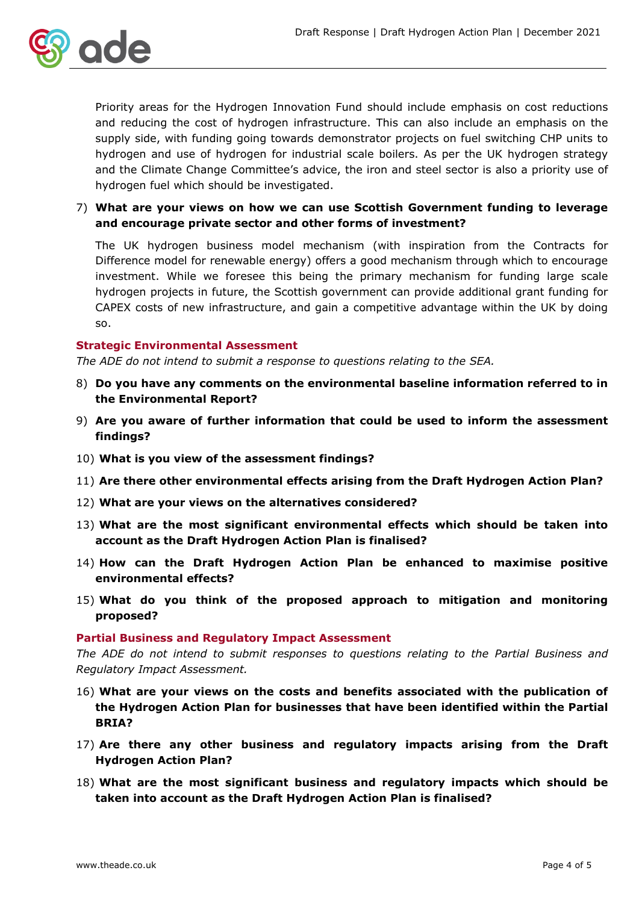

Priority areas for the Hydrogen Innovation Fund should include emphasis on cost reductions and reducing the cost of hydrogen infrastructure. This can also include an emphasis on the supply side, with funding going towards demonstrator projects on fuel switching CHP units to hydrogen and use of hydrogen for industrial scale boilers. As per the UK hydrogen strategy and the Climate Change Committee's advice, the iron and steel sector is also a priority use of hydrogen fuel which should be investigated.

7) **What are your views on how we can use Scottish Government funding to leverage and encourage private sector and other forms of investment?**

The UK hydrogen business model mechanism (with inspiration from the Contracts for Difference model for renewable energy) offers a good mechanism through which to encourage investment. While we foresee this being the primary mechanism for funding large scale hydrogen projects in future, the Scottish government can provide additional grant funding for CAPEX costs of new infrastructure, and gain a competitive advantage within the UK by doing so.

#### **Strategic Environmental Assessment**

*The ADE do not intend to submit a response to questions relating to the SEA.*

- 8) **Do you have any comments on the environmental baseline information referred to in the Environmental Report?**
- 9) **Are you aware of further information that could be used to inform the assessment findings?**
- 10) **What is you view of the assessment findings?**
- 11) **Are there other environmental effects arising from the Draft Hydrogen Action Plan?**
- 12) **What are your views on the alternatives considered?**
- 13) **What are the most significant environmental effects which should be taken into account as the Draft Hydrogen Action Plan is finalised?**
- 14) **How can the Draft Hydrogen Action Plan be enhanced to maximise positive environmental effects?**
- 15) **What do you think of the proposed approach to mitigation and monitoring proposed?**

#### **Partial Business and Regulatory Impact Assessment**

*The ADE do not intend to submit responses to questions relating to the Partial Business and Regulatory Impact Assessment.*

- 16) **What are your views on the costs and benefits associated with the publication of the Hydrogen Action Plan for businesses that have been identified within the Partial BRIA?**
- 17) **Are there any other business and regulatory impacts arising from the Draft Hydrogen Action Plan?**
- 18) **What are the most significant business and regulatory impacts which should be taken into account as the Draft Hydrogen Action Plan is finalised?**